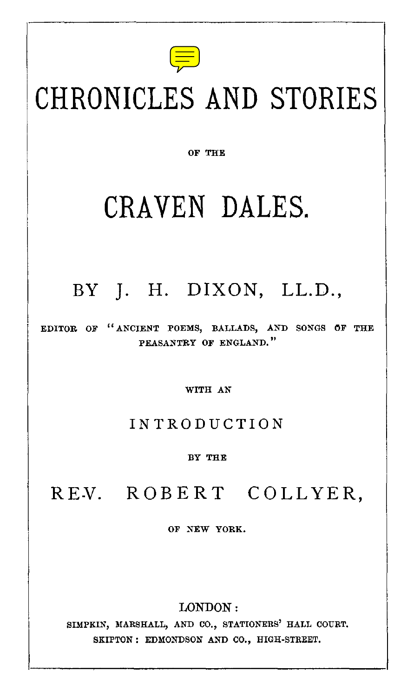

# CHRONICLES AND STORIES

OF THE

## CRAVEN DALES.

## BY J. H. DIXON, LL.D.,

EDITOR OF " ANCIENT POEMS, BALLADS, AND SONGS OF THE PEASANTRY OF ENGLAND."

WITH AN

#### INTRODUCTION

BY THE

## REV. ROBERT COLLYER,

OF NEW YORK.

LONDON:

SIMPKIN, MARSHALL, AND CO., STATIONERS' HALL COURT. SKIPTON : EDMONDSON AND CO., HIGH-STREET.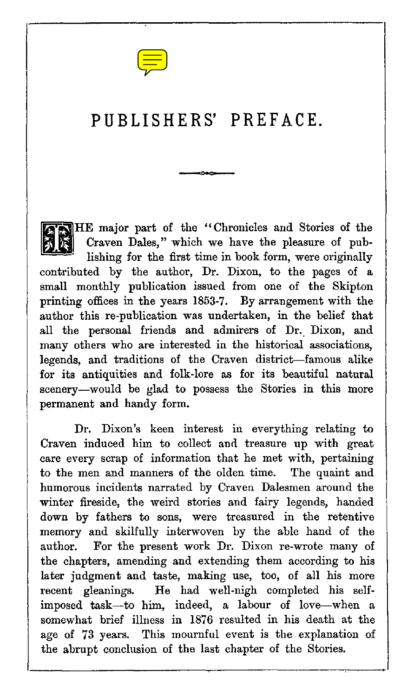

### PUBLISHERS' PREFACE.

HE major part of the "Chronicles and Stories of the Craven Dales," which we have the pleasure of publishing for the first time in book form, were originally contributed by the author, Dr. Dixon, to the pages of a small monthly publication issued from one of the Skipton printing offices in the years 1853-7. By arrangement with the author this re-publication was undertaken, in the belief that all the personal friends and admirers of Dr. Dixon, and many others who are interested in the historical associations, legends, and traditions of the Craven district—famous alike for its antiquities and folk-lore as for its beautiful natural scenery—would be glad to possess the Stories in this more permanent and handy form.

Dr. Dixon's keen interest in everything relating to Craven induced him to collect and treasure up with great care every scrap of information that he met with, pertaining to the men and manners of the olden time. The quaint and humorous incidents narrated by Craven Dalesmen around the winter fireside, the weird stories and fairy legends, handed down by fathers to sons, were treasured in the retentive memory and skilfully interwoven by the able hand of the author. For the present work Dr. Dixon re-wrote many of the chapters, amending and extending them according to his later judgment and taste, making use, too, of all his more recent gleanings. He had well-nigh completed his selfimposed task—to him, indeed, a labour of love—when a somewhat brief illness in 1876 resulted in his death at the age of 73 years. This mournful event is the explanation of the abrupt conclusion of the last chapter of the Stories.